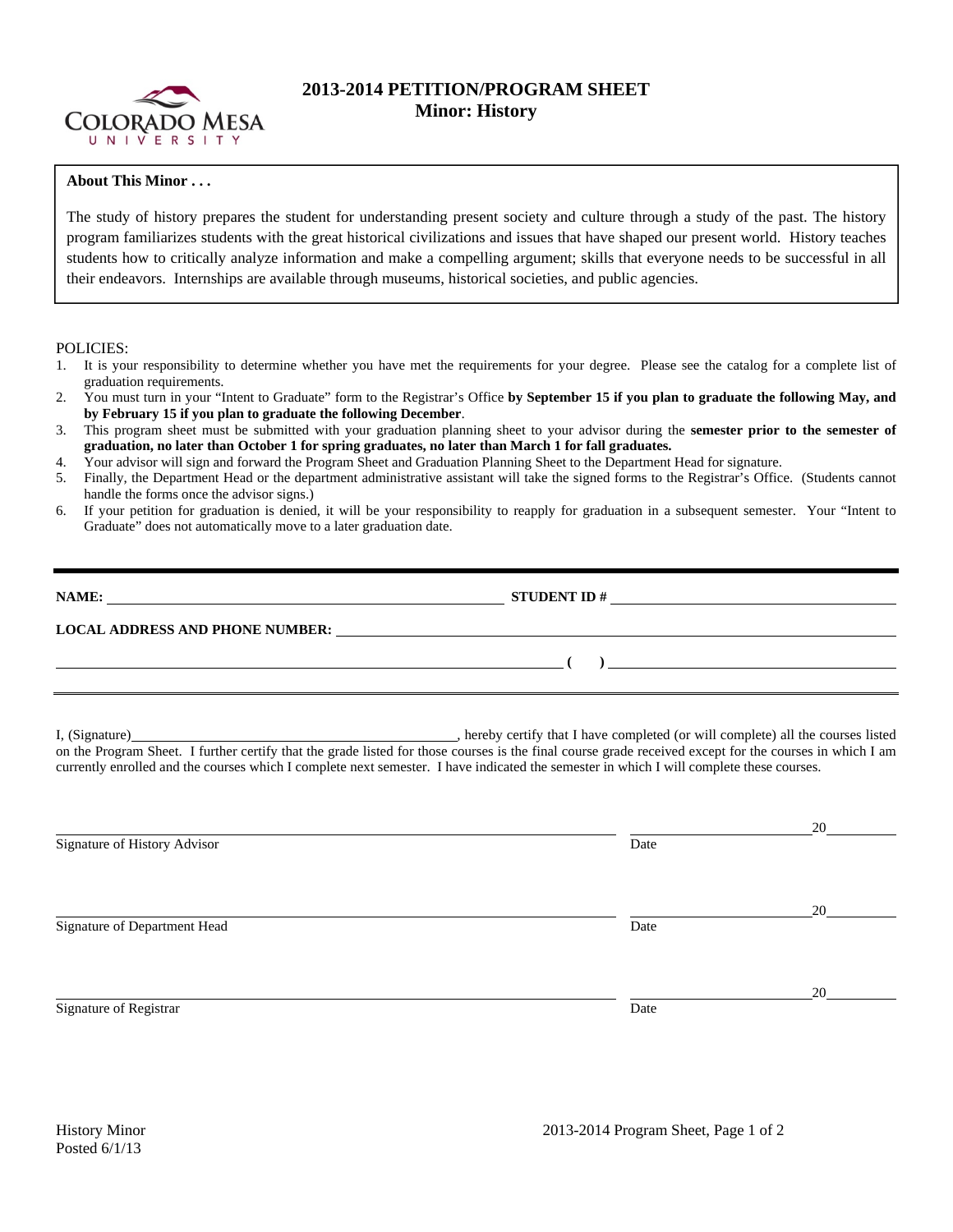

# **2013-2014 PETITION/PROGRAM SHEET Minor: History**

## **About This Minor . . .**

The study of history prepares the student for understanding present society and culture through a study of the past. The history program familiarizes students with the great historical civilizations and issues that have shaped our present world. History teaches students how to critically analyze information and make a compelling argument; skills that everyone needs to be successful in all their endeavors. Internships are available through museums, historical societies, and public agencies.

## POLICIES:

- 1. It is your responsibility to determine whether you have met the requirements for your degree. Please see the catalog for a complete list of graduation requirements.
- 2. You must turn in your "Intent to Graduate" form to the Registrar's Office **by September 15 if you plan to graduate the following May, and by February 15 if you plan to graduate the following December**.
- 3. This program sheet must be submitted with your graduation planning sheet to your advisor during the **semester prior to the semester of graduation, no later than October 1 for spring graduates, no later than March 1 for fall graduates.**
- 4. Your advisor will sign and forward the Program Sheet and Graduation Planning Sheet to the Department Head for signature.
- 5. Finally, the Department Head or the department administrative assistant will take the signed forms to the Registrar's Office. (Students cannot handle the forms once the advisor signs.)
- 6. If your petition for graduation is denied, it will be your responsibility to reapply for graduation in a subsequent semester. Your "Intent to Graduate" does not automatically move to a later graduation date.

| NAME:                                  | <b>STUDENT ID#</b> |  |
|----------------------------------------|--------------------|--|
| <b>LOCAL ADDRESS AND PHONE NUMBER:</b> |                    |  |
|                                        |                    |  |

I, (Signature) , hereby certify that I have completed (or will complete) all the courses listed on the Program Sheet. I further certify that the grade listed for those courses is the final course grade received except for the courses in which I am currently enrolled and the courses which I complete next semester. I have indicated the semester in which I will complete these courses.

|                              |      | 20 |
|------------------------------|------|----|
| Signature of History Advisor | Date |    |
|                              |      |    |
|                              |      |    |
|                              |      | 20 |
| Signature of Department Head | Date |    |
|                              |      |    |
|                              |      |    |
|                              |      |    |
|                              |      | 20 |
| Signature of Registrar       | Date |    |
|                              |      |    |